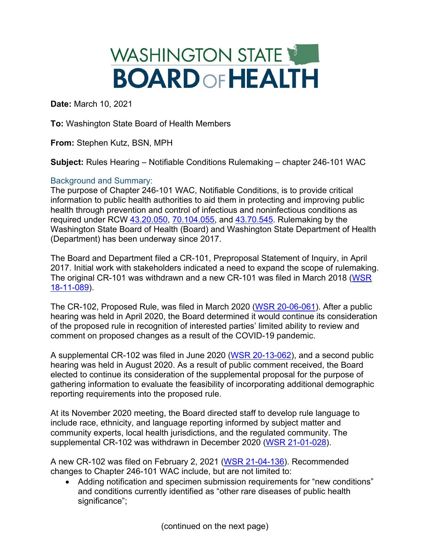# WASHINGTON STATE **BOARDOFHEALTH**

**Date:** March 10, 2021

**To:** Washington State Board of Health Members

**From:** Stephen Kutz, BSN, MPH

**Subject:** Rules Hearing – Notifiable Conditions Rulemaking – chapter 246-101 WAC

# Background and Summary:

The purpose of Chapter 246-101 WAC, Notifiable Conditions, is to provide critical information to public health authorities to aid them in protecting and improving public health through prevention and control of infectious and noninfectious conditions as required under RCW [43.20.050,](https://app.leg.wa.gov/rcw/default.aspx?cite=43.20.050) [70.104.055,](https://app.leg.wa.gov/rcw/default.aspx?cite=70.104.055) and [43.70.545.](https://app.leg.wa.gov/rcw/default.aspx?cite=43.70.545) Rulemaking by the Washington State Board of Health (Board) and Washington State Department of Health (Department) has been underway since 2017.

The Board and Department filed a CR-101, Preproposal Statement of Inquiry, in April 2017. Initial work with stakeholders indicated a need to expand the scope of rulemaking. The original CR-101 was withdrawn and a new CR-101 was filed in March 2018 [\(WSR](http://lawfilesext.leg.wa.gov/law/wsr/2018/11/18-11-089.htm)  [18-11-089\)](http://lawfilesext.leg.wa.gov/law/wsr/2018/11/18-11-089.htm).

The CR-102, Proposed Rule, was filed in March 2020 [\(WSR 20-06-061\)](http://lawfilesext.leg.wa.gov/law/wsr/2020/06/20-06-061.htm). After a public hearing was held in April 2020, the Board determined it would continue its consideration of the proposed rule in recognition of interested parties' limited ability to review and comment on proposed changes as a result of the COVID-19 pandemic.

A supplemental CR-102 was filed in June 2020 [\(WSR 20-13-062\)](http://lawfilesext.leg.wa.gov/law/wsr/2020/13/20-13-062.htm), and a second public hearing was held in August 2020. As a result of public comment received, the Board elected to continue its consideration of the supplemental proposal for the purpose of gathering information to evaluate the feasibility of incorporating additional demographic reporting requirements into the proposed rule.

At its November 2020 meeting, the Board directed staff to develop rule language to include race, ethnicity, and language reporting informed by subject matter and community experts, local health jurisdictions, and the regulated community. The supplemental CR-102 was withdrawn in December 2020 [\(WSR 21-01-028\)](http://lawfilesext.leg.wa.gov/law/wsr/2021/01/21-01-028.htm).

A new CR-102 was filed on February 2, 2021 [\(WSR 21-04-136\)](http://lawfilesext.leg.wa.gov/law/wsr/2021/04/21-04-136.htm). Recommended changes to Chapter 246-101 WAC include, but are not limited to:

• Adding notification and specimen submission requirements for "new conditions" and conditions currently identified as "other rare diseases of public health significance";